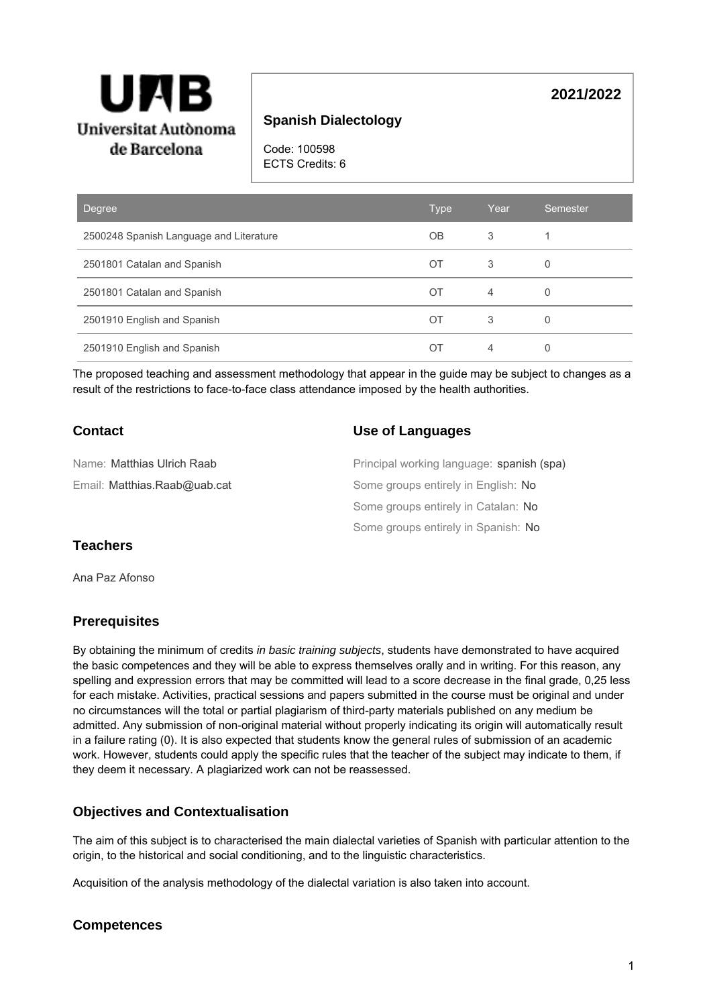

# **Spanish Dialectology**

Code: 100598 ECTS Credits: 6

| Degree                                  | <b>Type</b> | Year | Semester |
|-----------------------------------------|-------------|------|----------|
| 2500248 Spanish Language and Literature | <b>OB</b>   | 3    |          |
| 2501801 Catalan and Spanish             | OT          | 3    | 0        |
| 2501801 Catalan and Spanish             | ОT          | 4    | 0        |
| 2501910 English and Spanish             | OT          | 3    | 0        |
| 2501910 English and Spanish             | ОT          | 4    |          |

The proposed teaching and assessment methodology that appear in the guide may be subject to changes as a result of the restrictions to face-to-face class attendance imposed by the health authorities.

# **Contact**

### **Use of Languages**

| Name: <b>Matthias Ulrich Raab</b> | Principal working language: spanish (spa) |
|-----------------------------------|-------------------------------------------|
| Email: Matthias.Raab@uab.cat      | Some groups entirely in English: No       |
|                                   | Some groups entirely in Catalan: No       |
|                                   | Some groups entirely in Spanish: No       |

## **Teachers**

Ana Paz Afonso

# **Prerequisites**

By obtaining the minimum of credits in basic training subjects, students have demonstrated to have acquired the basic competences and they will be able to express themselves orally and in writing. For this reason, any spelling and expression errors that may be committed will lead to a score decrease in the final grade, 0,25 less for each mistake. Activities, practical sessions and papers submitted in the course must be original and under no circumstances will the total or partial plagiarism of third-party materials published on any medium be admitted. Any submission of non-original material without properly indicating its origin will automatically result in a failure rating (0). It is also expected that students know the general rules of submission of an academic work. However, students could apply the specific rules that the teacher of the subject may indicate to them, if they deem it necessary. A plagiarized work can not be reassessed.

# **Objectives and Contextualisation**

The aim of this subject is to characterised the main dialectal varieties of Spanish with particular attention to the origin, to the historical and social conditioning, and to the linguistic characteristics.

Acquisition of the analysis methodology of the dialectal variation is also taken into account.

### **Competences**

# **2021/2022**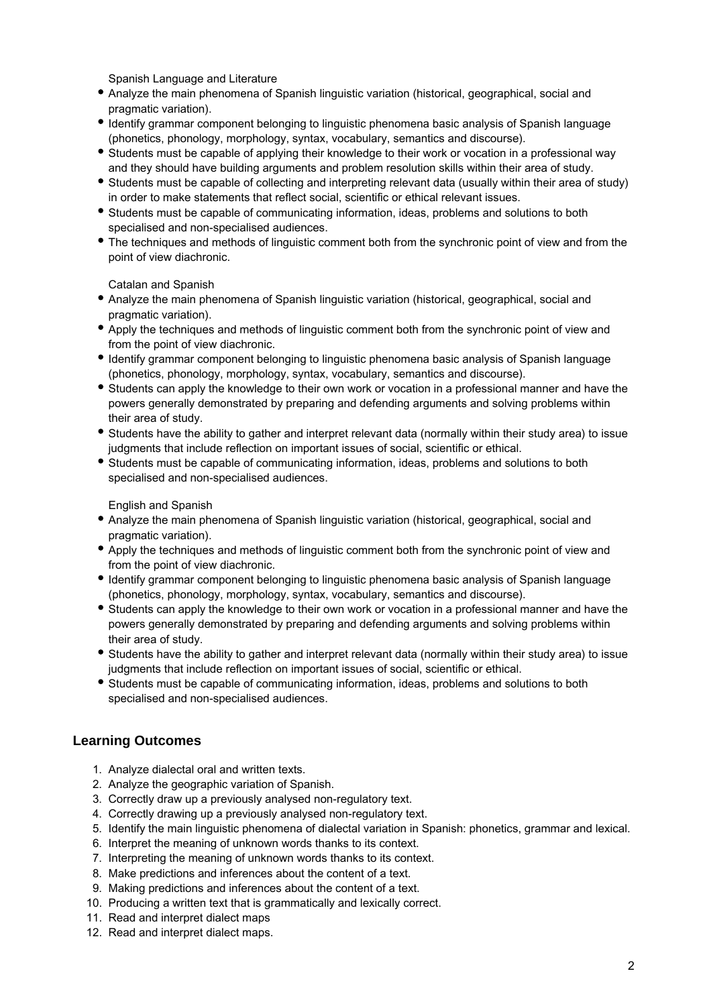Spanish Language and Literature

- Analyze the main phenomena of Spanish linguistic variation (historical, geographical, social and pragmatic variation).
- Identify grammar component belonging to linguistic phenomena basic analysis of Spanish language (phonetics, phonology, morphology, syntax, vocabulary, semantics and discourse).
- Students must be capable of applying their knowledge to their work or vocation in a professional way and they should have building arguments and problem resolution skills within their area of study.
- Students must be capable of collecting and interpreting relevant data (usually within their area of study) in order to make statements that reflect social, scientific or ethical relevant issues.
- Students must be capable of communicating information, ideas, problems and solutions to both specialised and non-specialised audiences.
- The techniques and methods of linguistic comment both from the synchronic point of view and from the point of view diachronic.

Catalan and Spanish

- Analyze the main phenomena of Spanish linguistic variation (historical, geographical, social and pragmatic variation).
- Apply the techniques and methods of linguistic comment both from the synchronic point of view and from the point of view diachronic.
- Identify grammar component belonging to linguistic phenomena basic analysis of Spanish language (phonetics, phonology, morphology, syntax, vocabulary, semantics and discourse).
- Students can apply the knowledge to their own work or vocation in a professional manner and have the powers generally demonstrated by preparing and defending arguments and solving problems within their area of study.
- Students have the ability to gather and interpret relevant data (normally within their study area) to issue judgments that include reflection on important issues of social, scientific or ethical.
- Students must be capable of communicating information, ideas, problems and solutions to both specialised and non-specialised audiences.

English and Spanish

- Analyze the main phenomena of Spanish linguistic variation (historical, geographical, social and pragmatic variation).
- Apply the techniques and methods of linguistic comment both from the synchronic point of view and from the point of view diachronic.
- Identify grammar component belonging to linguistic phenomena basic analysis of Spanish language (phonetics, phonology, morphology, syntax, vocabulary, semantics and discourse).
- Students can apply the knowledge to their own work or vocation in a professional manner and have the powers generally demonstrated by preparing and defending arguments and solving problems within their area of study.
- Students have the ability to gather and interpret relevant data (normally within their study area) to issue judgments that include reflection on important issues of social, scientific or ethical.
- Students must be capable of communicating information, ideas, problems and solutions to both specialised and non-specialised audiences.

# **Learning Outcomes**

- 1. Analyze dialectal oral and written texts.
- 2. Analyze the geographic variation of Spanish.
- 3. Correctly draw up a previously analysed non-regulatory text.
- 4. Correctly drawing up a previously analysed non-regulatory text.
- 5. Identify the main linguistic phenomena of dialectal variation in Spanish: phonetics, grammar and lexical.
- 6. Interpret the meaning of unknown words thanks to its context.
- 7. Interpreting the meaning of unknown words thanks to its context.
- 8. Make predictions and inferences about the content of a text.
- 9. Making predictions and inferences about the content of a text.
- 10. Producing a written text that is grammatically and lexically correct.
- 11. Read and interpret dialect maps
- 12. Read and interpret dialect maps.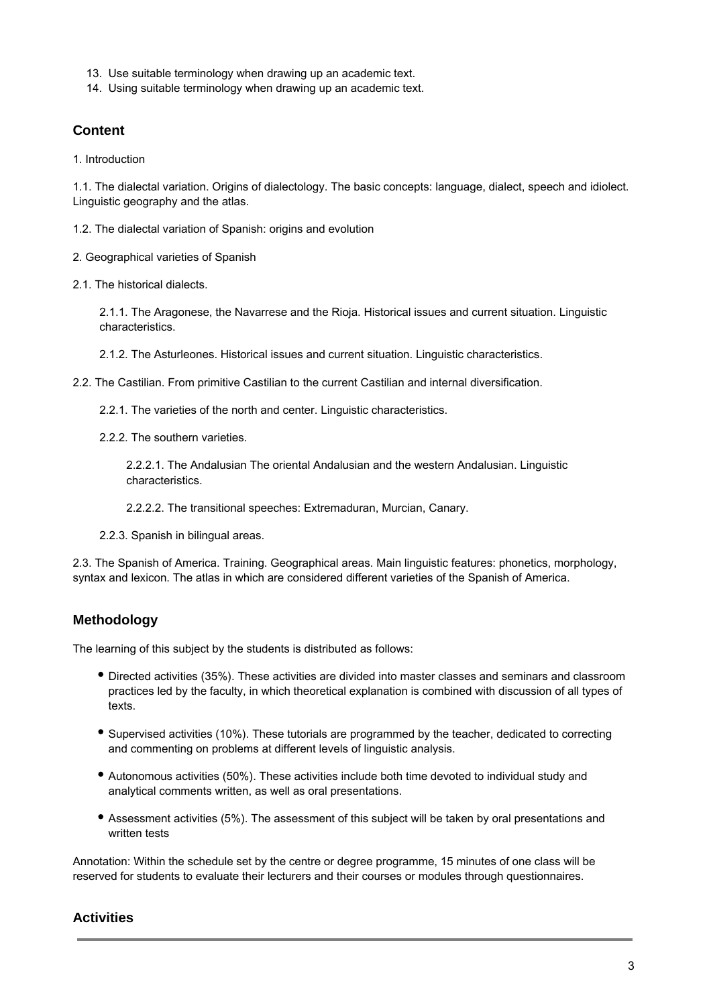- 13. Use suitable terminology when drawing up an academic text.
- 14. Using suitable terminology when drawing up an academic text.

## **Content**

1. Introduction

1.1. The dialectal variation. Origins of dialectology. The basic concepts: language, dialect, speech and idiolect. Linguistic geography and the atlas.

1.2. The dialectal variation of Spanish: origins and evolution

2. Geographical varieties of Spanish

2.1. The historical dialects.

2.1.1. The Aragonese, the Navarrese and the Rioja. Historical issues and current situation. Linguistic characteristics.

2.1.2. The Asturleones. Historical issues and current situation. Linguistic characteristics.

2.2. The Castilian. From primitive Castilian to the current Castilian and internal diversification.

2.2.1. The varieties of the north and center. Linguistic characteristics.

2.2.2. The southern varieties.

2.2.2.1. The Andalusian The oriental Andalusian and the western Andalusian. Linguistic characteristics.

2.2.2.2. The transitional speeches: Extremaduran, Murcian, Canary.

2.2.3. Spanish in bilingual areas.

2.3. The Spanish of America. Training. Geographical areas. Main linguistic features: phonetics, morphology, syntax and lexicon. The atlas in which are considered different varieties of the Spanish of America.

# **Methodology**

The learning of this subject by the students is distributed as follows:

- Directed activities (35%). These activities are divided into master classes and seminars and classroom practices led by the faculty, in which theoretical explanation is combined with discussion of all types of texts.
- Supervised activities (10%). These tutorials are programmed by the teacher, dedicated to correcting and commenting on problems at different levels of linguistic analysis.
- Autonomous activities (50%). These activities include both time devoted to individual study and analytical comments written, as well as oral presentations.
- Assessment activities (5%). The assessment of this subject will be taken by oral presentations and written tests

Annotation: Within the schedule set by the centre or degree programme, 15 minutes of one class will be reserved for students to evaluate their lecturers and their courses or modules through questionnaires.

### **Activities**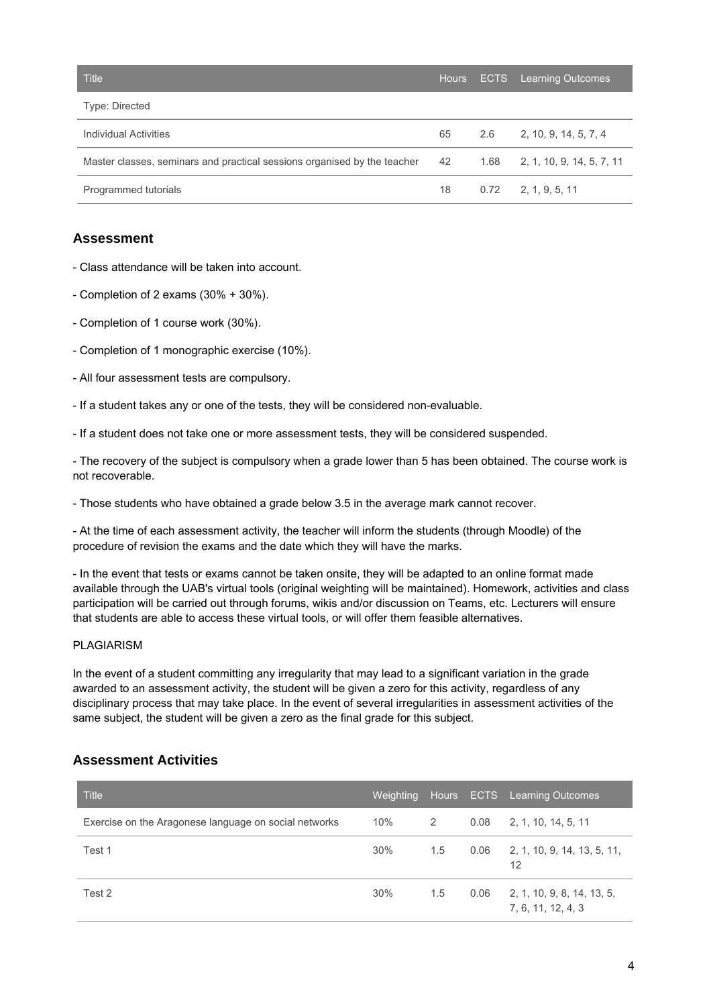| <b>Title</b>                                                             | <b>Hours</b> | ECTS Learning Outcomes           |
|--------------------------------------------------------------------------|--------------|----------------------------------|
| Type: Directed                                                           |              |                                  |
| Individual Activities                                                    | 65           | $2.6$ 2, 10, 9, 14, 5, 7, 4      |
| Master classes, seminars and practical sessions organised by the teacher | 42           | $1.68$ 2, 1, 10, 9, 14, 5, 7, 11 |
| Programmed tutorials                                                     | 18           | $0.72$ 2, 1, 9, 5, 11            |

## **Assessment**

- Class attendance will be taken into account.
- Completion of 2 exams (30% + 30%).
- Completion of 1 course work (30%).
- Completion of 1 monographic exercise (10%).
- All four assessment tests are compulsory.
- If a student takes any or one of the tests, they will be considered non-evaluable.
- If a student does not take one or more assessment tests, they will be considered suspended.

- The recovery of the subject is compulsory when a grade lower than 5 has been obtained. The course work is not recoverable.

- Those students who have obtained a grade below 3.5 in the average mark cannot recover.

- At the time of each assessment activity, the teacher will inform the students (through Moodle) of the procedure of revision the exams and the date which they will have the marks.

- In the event that tests or exams cannot be taken onsite, they will be adapted to an online format made available through the UAB's virtual tools (original weighting will be maintained). Homework, activities and class participation will be carried out through forums, wikis and/or discussion on Teams, etc. Lecturers will ensure that students are able to access these virtual tools, or will offer them feasible alternatives.

#### PLAGIARISM

In the event of a student committing any irregularity that may lead to a significant variation in the grade awarded to an assessment activity, the student will be given a zero for this activity, regardless of any disciplinary process that may take place. In the event of several irregularities in assessment activities of the same subject, the student will be given a zero as the final grade for this subject.

### **Assessment Activities**

| <b>Title</b>                                          | <b>Weighting</b> |     |      | Hours ECTS Learning Outcomes                     |
|-------------------------------------------------------|------------------|-----|------|--------------------------------------------------|
| Exercise on the Aragonese language on social networks | 10%              | 2   | 0.08 | 2, 1, 10, 14, 5, 11                              |
| Test 1                                                | 30%              | 1.5 | 0.06 | 2, 1, 10, 9, 14, 13, 5, 11,<br>12                |
| Test 2                                                | 30%              | 1.5 | 0.06 | 2, 1, 10, 9, 8, 14, 13, 5,<br>7, 6, 11, 12, 4, 3 |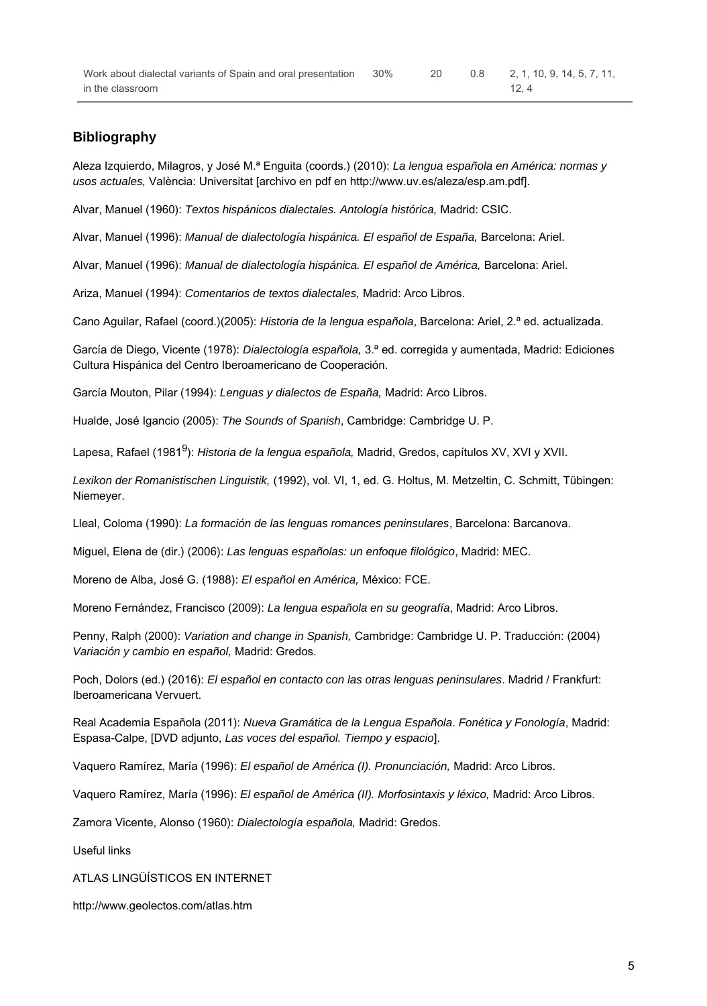## **Bibliography**

Aleza Izquierdo, Milagros, y José M.ª Enguita (coords.) (2010): La lengua española en América: normas y usos actuales, València: Universitat [archivo en pdf en http://www.uv.es/aleza/esp.am.pdf].

Alvar, Manuel (1960): Textos hispánicos dialectales. Antología histórica, Madrid: CSIC.

Alvar, Manuel (1996): Manual de dialectología hispánica. El español de España, Barcelona: Ariel.

Alvar, Manuel (1996): Manual de dialectología hispánica. El español de América, Barcelona: Ariel.

Ariza, Manuel (1994): Comentarios de textos dialectales, Madrid: Arco Libros.

Cano Aguilar, Rafael (coord.)(2005): Historia de la lengua española, Barcelona: Ariel, 2.ª ed. actualizada.

García de Diego, Vicente (1978): Dialectología española, 3.ª ed. corregida y aumentada, Madrid: Ediciones Cultura Hispánica del Centro Iberoamericano de Cooperación.

García Mouton, Pilar (1994): Lenguas y dialectos de España, Madrid: Arco Libros.

Hualde, José Igancio (2005): The Sounds of Spanish, Cambridge: Cambridge U. P.

Lapesa, Rafael (1981<sup>9</sup>): *Historia de la lengua española*, Madrid, Gredos, capítulos XV, XVI y XVII.

Lexikon der Romanistischen Linguistik, (1992), vol. VI, 1, ed. G. Holtus, M. Metzeltin, C. Schmitt, Tübingen: Niemeyer.

Lleal, Coloma (1990): La formación de las lenguas romances peninsulares, Barcelona: Barcanova.

Miguel, Elena de (dir.) (2006): Las lenguas españolas: un enfoque filológico, Madrid: MEC.

Moreno de Alba, José G. (1988): El español en América, México: FCE.

Moreno Fernández, Francisco (2009): La lengua española en su geografía, Madrid: Arco Libros.

Penny, Ralph (2000): Variation and change in Spanish, Cambridge: Cambridge U. P. Traducción: (2004) Variación y cambio en español, Madrid: Gredos.

Poch, Dolors (ed.) (2016): El español en contacto con las otras lenguas peninsulares. Madrid / Frankfurt: Iberoamericana Vervuert.

Real Academia Española (2011): Nueva Gramática de la Lengua Española. Fonética y Fonología, Madrid: Espasa-Calpe, [DVD adjunto, Las voces del español. Tiempo y espacio].

Vaquero Ramírez, María (1996): El español de América (I). Pronunciación, Madrid: Arco Libros.

Vaquero Ramírez, María (1996): El español de América (II). Morfosintaxis y léxico, Madrid: Arco Libros.

Zamora Vicente, Alonso (1960): Dialectología española, Madrid: Gredos.

Useful links

ATLAS LINGÜÍSTICOS EN INTERNET

http://www.geolectos.com/atlas.htm